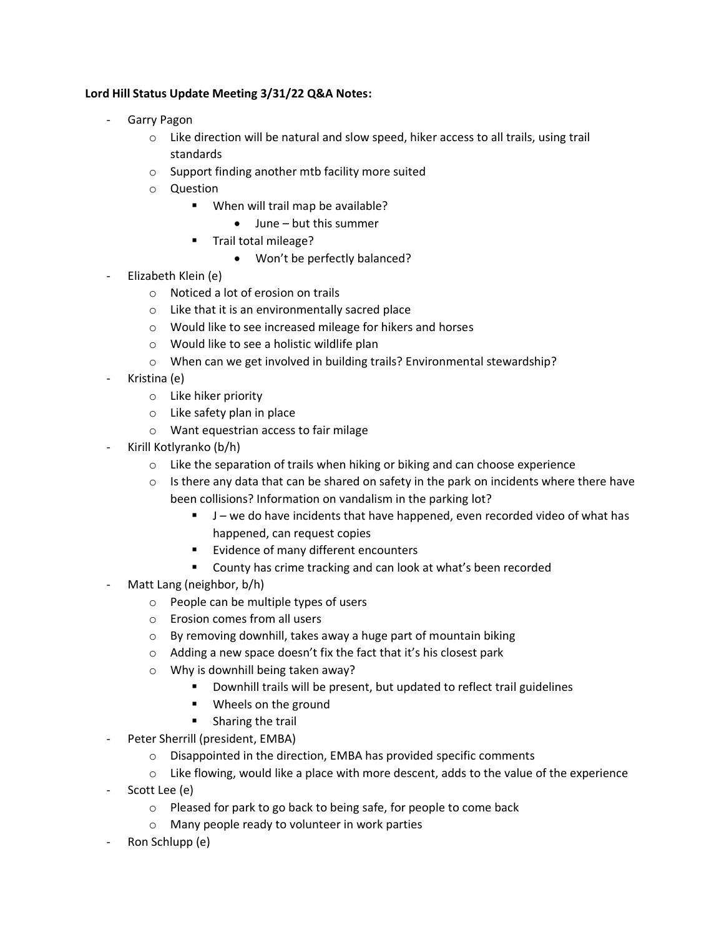## **Lord Hill Status Update Meeting 3/31/22 Q&A Notes:**

- Garry Pagon
	- o Like direction will be natural and slow speed, hiker access to all trails, using trail standards
	- o Support finding another mtb facility more suited
	- o Question
		- When will trail map be available?
			- June but this summer
		- Trail total mileage?
			- Won't be perfectly balanced?
- Elizabeth Klein (e)
	- o Noticed a lot of erosion on trails
	- o Like that it is an environmentally sacred place
	- o Would like to see increased mileage for hikers and horses
	- o Would like to see a holistic wildlife plan
	- o When can we get involved in building trails? Environmental stewardship?
- Kristina (e)
	- o Like hiker priority
	- o Like safety plan in place
	- o Want equestrian access to fair milage
- Kirill Kotlyranko (b/h)
	- $\circ$  Like the separation of trails when hiking or biking and can choose experience
	- $\circ$  Is there any data that can be shared on safety in the park on incidents where there have been collisions? Information on vandalism in the parking lot?
		- J we do have incidents that have happened, even recorded video of what has happened, can request copies
		- Evidence of many different encounters
		- County has crime tracking and can look at what's been recorded
- Matt Lang (neighbor, b/h)
	- o People can be multiple types of users
	- o Erosion comes from all users
	- o By removing downhill, takes away a huge part of mountain biking
	- o Adding a new space doesn't fix the fact that it's his closest park
	- o Why is downhill being taken away?
		- Downhill trails will be present, but updated to reflect trail guidelines
		- Wheels on the ground
		- Sharing the trail
- Peter Sherrill (president, EMBA)
	- o Disappointed in the direction, EMBA has provided specific comments
	- $\circ$  Like flowing, would like a place with more descent, adds to the value of the experience
- Scott Lee (e)
	- o Pleased for park to go back to being safe, for people to come back
	- o Many people ready to volunteer in work parties
- Ron Schlupp (e)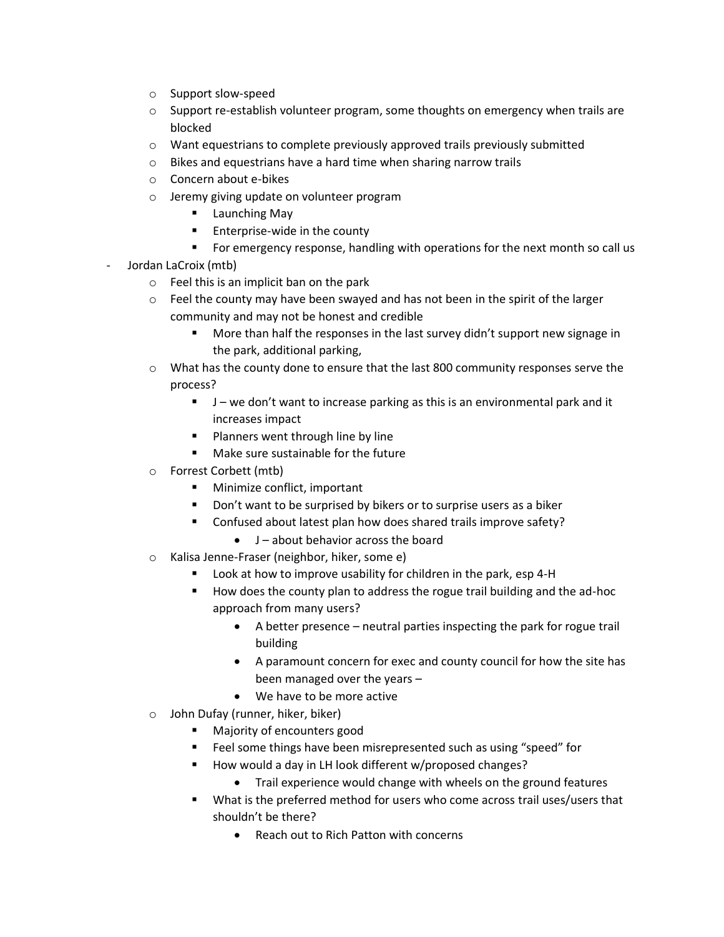- o Support slow-speed
- $\circ$  Support re-establish volunteer program, some thoughts on emergency when trails are blocked
- $\circ$  Want equestrians to complete previously approved trails previously submitted
- o Bikes and equestrians have a hard time when sharing narrow trails
- o Concern about e-bikes
- o Jeremy giving update on volunteer program
	- Launching May
	- Enterprise-wide in the county
	- **•** For emergency response, handling with operations for the next month so call us
- Jordan LaCroix (mtb)
	- o Feel this is an implicit ban on the park
	- $\circ$  Feel the county may have been swayed and has not been in the spirit of the larger community and may not be honest and credible
		- More than half the responses in the last survey didn't support new signage in the park, additional parking,
	- $\circ$  What has the county done to ensure that the last 800 community responses serve the process?
		- J we don't want to increase parking as this is an environmental park and it increases impact
		- Planners went through line by line
		- Make sure sustainable for the future
	- o Forrest Corbett (mtb)
		- Minimize conflict, important
		- Don't want to be surprised by bikers or to surprise users as a biker
		- Confused about latest plan how does shared trails improve safety?
			- J about behavior across the board
	- o Kalisa Jenne-Fraser (neighbor, hiker, some e)
		- Look at how to improve usability for children in the park, esp 4-H
		- How does the county plan to address the rogue trail building and the ad-hoc approach from many users?
			- A better presence neutral parties inspecting the park for rogue trail building
			- A paramount concern for exec and county council for how the site has been managed over the years –
			- We have to be more active
	- o John Dufay (runner, hiker, biker)
		- Majority of encounters good
		- Feel some things have been misrepresented such as using "speed" for
		- How would a day in LH look different w/proposed changes?
			- Trail experience would change with wheels on the ground features
		- What is the preferred method for users who come across trail uses/users that shouldn't be there?
			- Reach out to Rich Patton with concerns